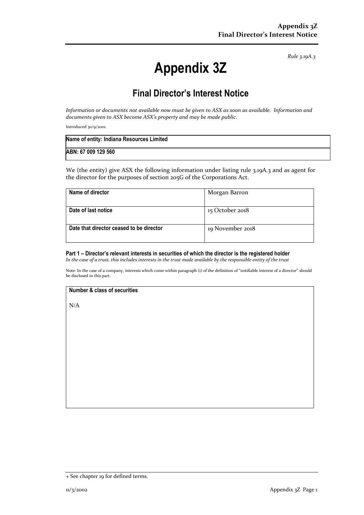*Rule 3.19A.3*

# **Appendix 3Z**

# **Final Director's Interest Notice**

*Information or documents not available now must be given to ASX as soon as available. Information and documents given to ASX become ASX's property and may be made public.*

Introduced 30/9/2001.

| Name of entity: Indiana Resources Limited |  |
|-------------------------------------------|--|
| ABN: 67 009 129 560                       |  |

We (the entity) give ASX the following information under listing rule 3.19A.3 and as agent for the director for the purposes of section 205G of the Corporations Act.

| Name of director                         | Morgan Barron    |
|------------------------------------------|------------------|
|                                          |                  |
| Date of last notice                      | 15 October 2018  |
|                                          |                  |
| Date that director ceased to be director | 19 November 2018 |
|                                          |                  |

# **Part 1 – Director's relevant interests in securities of which the director is the registered holder**

*In the case of a trust, this includes interests in the trust made available by the responsible entity of the trust*

Note: In the case of a company, interests which come within paragraph (i) of the definition of "notifiable interest of a director" should be disclosed in this part.

#### **Number & class of securities**

N/A

<sup>+</sup> See chapter 19 for defined terms.